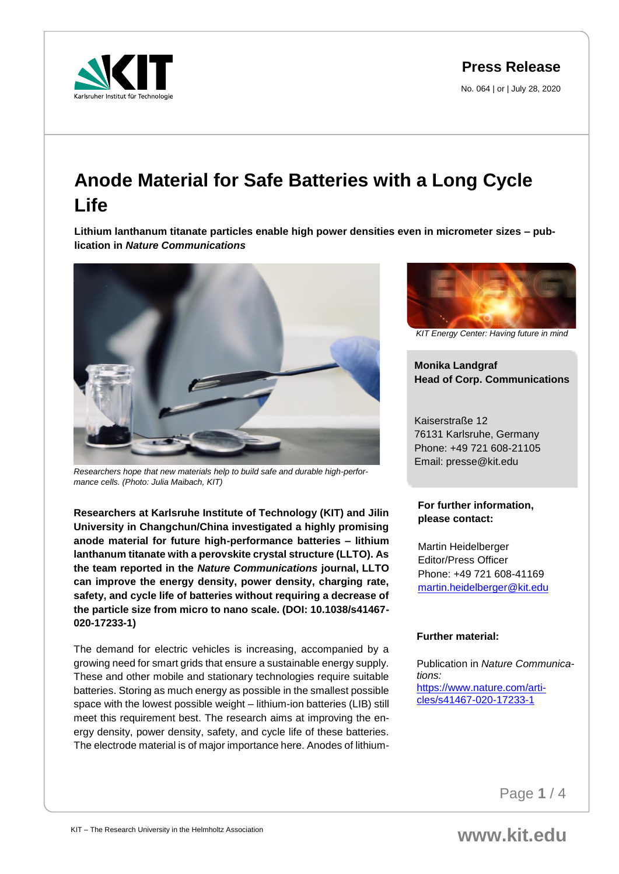**Press Release**

No. 064 | or | July 28, 2020



# **Anode Material for Safe Batteries with a Long Cycle Life**

**Lithium lanthanum titanate particles enable high power densities even in micrometer sizes – publication in** *Nature Communications*



*Researchers hope that new materials help to build safe and durable high-performance cells. (Photo: Julia Maibach, KIT)*

**Researchers at Karlsruhe Institute of Technology (KIT) and Jilin University in Changchun/China investigated a highly promising anode material for future high-performance batteries – lithium lanthanum titanate with a perovskite crystal structure (LLTO). As the team reported in the** *Nature Communications* **journal, LLTO can improve the energy density, power density, charging rate, safety, and cycle life of batteries without requiring a decrease of the particle size from micro to nano scale. (DOI: 10.1038/s41467- 020-17233-1)**

The demand for electric vehicles is increasing, accompanied by a growing need for smart grids that ensure a sustainable energy supply. These and other mobile and stationary technologies require suitable batteries. Storing as much energy as possible in the smallest possible space with the lowest possible weight – lithium-ion batteries (LIB) still meet this requirement best. The research aims at improving the energy density, power density, safety, and cycle life of these batteries. The electrode material is of major importance here. Anodes of lithium-



*KIT Energy Center: Having future in mind*

**Monika Landgraf Head of Corp. Communications**

Kaiserstraße 12 76131 Karlsruhe, Germany Phone: +49 721 608-21105 Email: presse@kit.edu

## **For further information, please contact:**

Martin Heidelberger Editor/Press Officer Phone: +49 721 608-41169 [martin.heidelberger@kit.edu](mailto:martin.heidelberger@kit.edu)

## **Further material:**

Publication in *Nature Communications:* [https://www.nature.com/arti](https://www.nature.com/articles/s41467-020-17233-1)[cles/s41467-020-17233-1](https://www.nature.com/articles/s41467-020-17233-1)

Page **1** / 4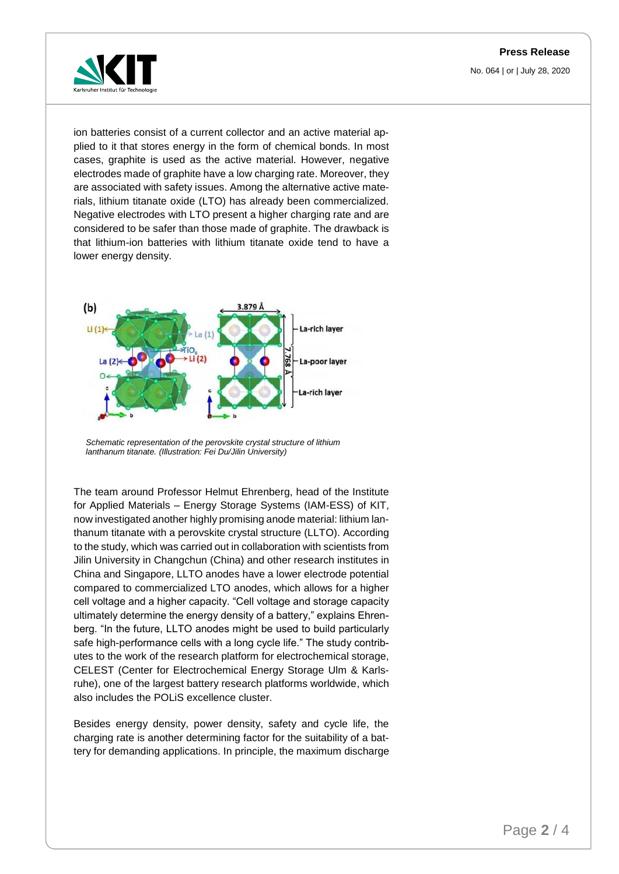

ion batteries consist of a current collector and an active material applied to it that stores energy in the form of chemical bonds. In most cases, graphite is used as the active material. However, negative electrodes made of graphite have a low charging rate. Moreover, they are associated with safety issues. Among the alternative active materials, lithium titanate oxide (LTO) has already been commercialized. Negative electrodes with LTO present a higher charging rate and are considered to be safer than those made of graphite. The drawback is that lithium-ion batteries with lithium titanate oxide tend to have a lower energy density.



*Schematic representation of the perovskite crystal structure of lithium lanthanum titanate. (Illustration: Fei Du/Jilin University)*

The team around Professor Helmut Ehrenberg, head of the Institute for Applied Materials – Energy Storage Systems (IAM-ESS) of KIT, now investigated another highly promising anode material: lithium lanthanum titanate with a perovskite crystal structure (LLTO). According to the study, which was carried out in collaboration with scientists from Jilin University in Changchun (China) and other research institutes in China and Singapore, LLTO anodes have a lower electrode potential compared to commercialized LTO anodes, which allows for a higher cell voltage and a higher capacity. "Cell voltage and storage capacity ultimately determine the energy density of a battery," explains Ehrenberg. "In the future, LLTO anodes might be used to build particularly safe high-performance cells with a long cycle life." The study contributes to the work of the research platform for electrochemical storage, CELEST (Center for Electrochemical Energy Storage Ulm & Karlsruhe), one of the largest battery research platforms worldwide, which also includes the POLiS excellence cluster.

Besides energy density, power density, safety and cycle life, the charging rate is another determining factor for the suitability of a battery for demanding applications. In principle, the maximum discharge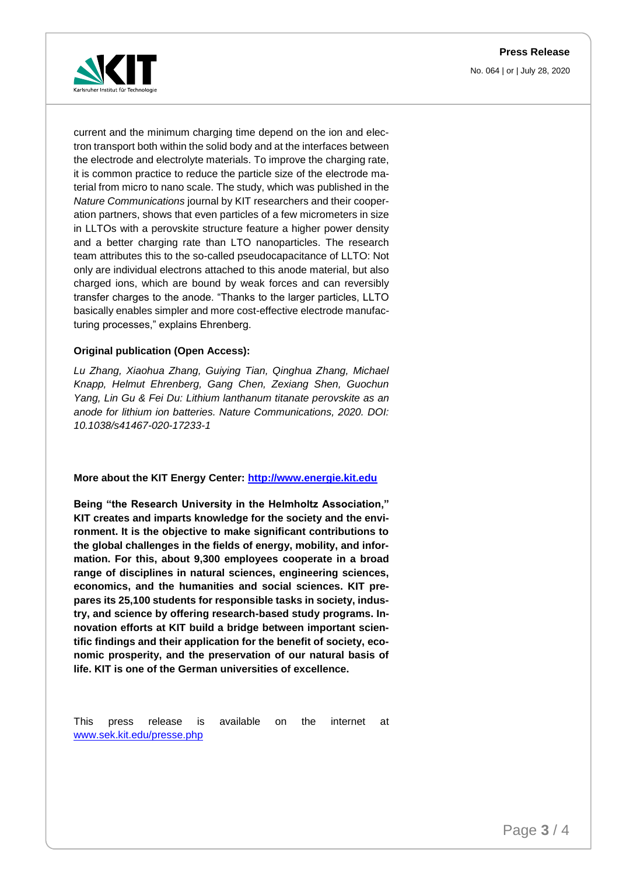

current and the minimum charging time depend on the ion and electron transport both within the solid body and at the interfaces between the electrode and electrolyte materials. To improve the charging rate, it is common practice to reduce the particle size of the electrode material from micro to nano scale. The study, which was published in the *Nature Communications* journal by KIT researchers and their cooperation partners, shows that even particles of a few micrometers in size in LLTOs with a perovskite structure feature a higher power density and a better charging rate than LTO nanoparticles. The research team attributes this to the so-called pseudocapacitance of LLTO: Not only are individual electrons attached to this anode material, but also charged ions, which are bound by weak forces and can reversibly transfer charges to the anode. "Thanks to the larger particles, LLTO basically enables simpler and more cost-effective electrode manufacturing processes," explains Ehrenberg.

#### **Original publication (Open Access):**

*Lu Zhang, Xiaohua Zhang, Guiying Tian, Qinghua Zhang, Michael Knapp, Helmut Ehrenberg, Gang Chen, Zexiang Shen, Guochun Yang, Lin Gu & Fei Du: Lithium lanthanum titanate perovskite as an anode for lithium ion batteries. Nature Communications, 2020. DOI: 10.1038/s41467-020-17233-1* 

#### **More about the KIT Energy Center: [http://www.energie.kit.edu](http://www.energie.kit.edu/)**

**Being "the Research University in the Helmholtz Association," KIT creates and imparts knowledge for the society and the environment. It is the objective to make significant contributions to the global challenges in the fields of energy, mobility, and information. For this, about 9,300 employees cooperate in a broad range of disciplines in natural sciences, engineering sciences, economics, and the humanities and social sciences. KIT prepares its 25,100 students for responsible tasks in society, industry, and science by offering research-based study programs. Innovation efforts at KIT build a bridge between important scientific findings and their application for the benefit of society, economic prosperity, and the preservation of our natural basis of life. KIT is one of the German universities of excellence.**

This press release is available on the internet at [www.sek.kit.edu/presse.php](http://www.sek.kit.edu/presse.php)